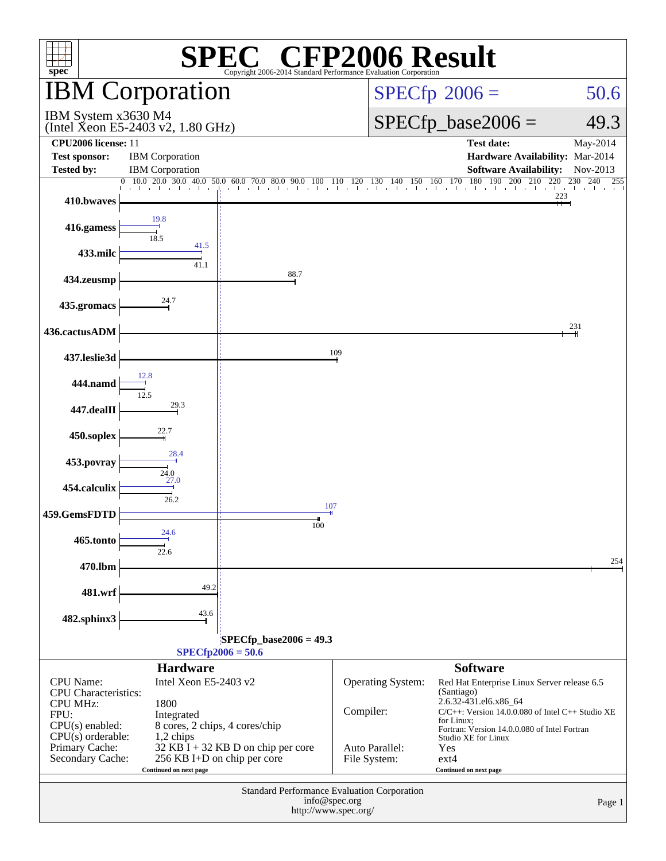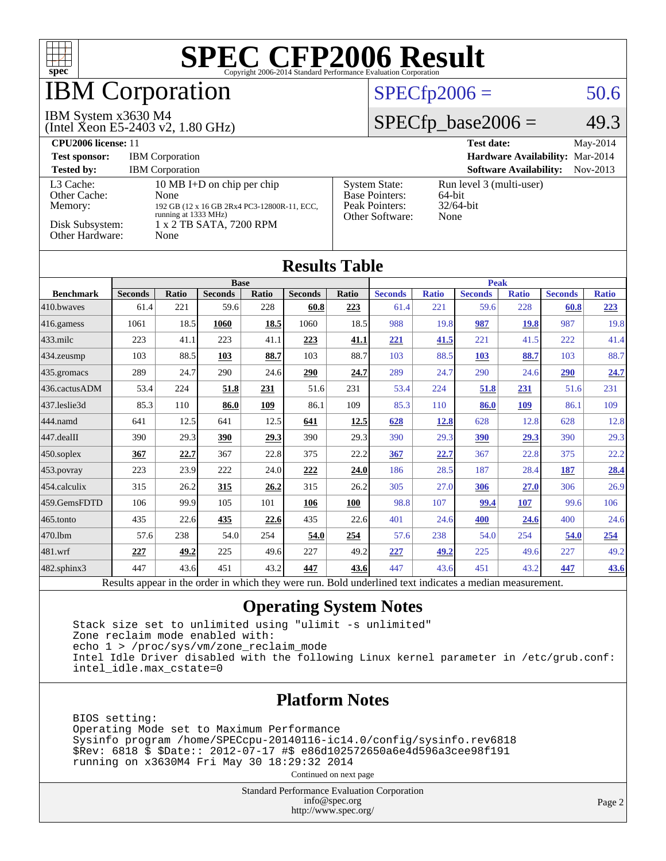

# IBM Corporation

#### IBM System x3630 M4

(Intel Xeon E5-2403 v2, 1.80 GHz)

### $SPECfp2006 = 50.6$  $SPECfp2006 = 50.6$

### $SPECfp\_base2006 = 49.3$

| CPU <sub>2006</sub> license: 11                                            |                                                                                                                                              |                                                                                    | <b>Test date:</b><br>$Mav-2014$                            |
|----------------------------------------------------------------------------|----------------------------------------------------------------------------------------------------------------------------------------------|------------------------------------------------------------------------------------|------------------------------------------------------------|
| <b>Test sponsor:</b>                                                       | <b>IBM</b> Corporation                                                                                                                       |                                                                                    | Hardware Availability: Mar-2014                            |
| <b>Tested by:</b>                                                          | <b>IBM</b> Corporation                                                                                                                       |                                                                                    | <b>Software Availability:</b><br>$Nov-2013$                |
| L3 Cache:<br>Other Cache:<br>Memory:<br>Disk Subsystem:<br>Other Hardware: | 10 MB I+D on chip per chip<br>None<br>192 GB (12 x 16 GB 2Rx4 PC3-12800R-11, ECC,<br>running at 1333 MHz)<br>1 x 2 TB SATA, 7200 RPM<br>None | <b>System State:</b><br><b>Base Pointers:</b><br>Peak Pointers:<br>Other Software: | Run level 3 (multi-user)<br>64-bit<br>$32/64$ -bit<br>None |

| <b>Results Table</b> |                                                                                                          |              |                |       |                |              |                |              |                |              |                |              |
|----------------------|----------------------------------------------------------------------------------------------------------|--------------|----------------|-------|----------------|--------------|----------------|--------------|----------------|--------------|----------------|--------------|
|                      | <b>Base</b>                                                                                              |              |                |       | <b>Peak</b>    |              |                |              |                |              |                |              |
| <b>Benchmark</b>     | <b>Seconds</b>                                                                                           | <b>Ratio</b> | <b>Seconds</b> | Ratio | <b>Seconds</b> | <b>Ratio</b> | <b>Seconds</b> | <b>Ratio</b> | <b>Seconds</b> | <b>Ratio</b> | <b>Seconds</b> | <b>Ratio</b> |
| 410.bwayes           | 61.4                                                                                                     | 221          | 59.6           | 228   | 60.8           | 223          | 61.4           | 221          | 59.6           | 228          | 60.8           | 223          |
| 416.gamess           | 1061                                                                                                     | 18.5         | 1060           | 18.5  | 1060           | 18.5         | 988            | 19.8         | 987            | 19.8         | 987            | 19.8         |
| $433$ .milc          | 223                                                                                                      | 41.1         | 223            | 41.1  | 223            | 41.1         | 221            | 41.5         | 221            | 41.5         | 222            | 41.4         |
| 434.zeusmp           | 103                                                                                                      | 88.5         | 103            | 88.7  | 103            | 88.7         | 103            | 88.5         | 103            | 88.7         | 103            | 88.7         |
| 435.gromacs          | 289                                                                                                      | 24.7         | 290            | 24.6  | 290            | 24.7         | 289            | 24.7         | 290            | 24.6         | 290            | 24.7         |
| 436.cactusADM        | 53.4                                                                                                     | 224          | 51.8           | 231   | 51.6           | 231          | 53.4           | 224          | 51.8           | 231          | 51.6           | 231          |
| 437.leslie3d         | 85.3                                                                                                     | 110          | 86.0           | 109   | 86.1           | 109          | 85.3           | 110          | 86.0           | 109          | 86.1           | 109          |
| 444.namd             | 641                                                                                                      | 12.5         | 641            | 12.5  | 641            | 12.5         | 628            | <u>12.8</u>  | 628            | 12.8         | 628            | 12.8         |
| 447.dealII           | 390                                                                                                      | 29.3         | 390            | 29.3  | 390            | 29.3         | 390            | 29.3         | 390            | 29.3         | 390            | 29.3         |
| $450$ .soplex        | 367                                                                                                      | 22.7         | 367            | 22.8  | 375            | 22.2         | 367            | 22.7         | 367            | 22.8         | 375            | 22.2         |
| 453.povray           | 223                                                                                                      | 23.9         | 222            | 24.0  | 222            | 24.0         | 186            | 28.5         | 187            | 28.4         | 187            | 28.4         |
| $ 454$ .calculix     | 315                                                                                                      | 26.2         | 315            | 26.2  | 315            | 26.2         | 305            | 27.0         | 306            | 27.0         | 306            | 26.9         |
| 459.GemsFDTD         | 106                                                                                                      | 99.9         | 105            | 101   | 106            | 100          | 98.8           | 107          | 99.4           | 107          | 99.6           | 106          |
| 465.tonto            | 435                                                                                                      | 22.6         | 435            | 22.6  | 435            | 22.6         | 401            | 24.6         | 400            | 24.6         | 400            | 24.6         |
| 470.1bm              | 57.6                                                                                                     | 238          | 54.0           | 254   | 54.0           | 254          | 57.6           | 238          | 54.0           | 254          | 54.0           | 254          |
| 481.wrf              | 227                                                                                                      | 49.2         | 225            | 49.6  | 227            | 49.2         | 227            | 49.2         | 225            | 49.6         | 227            | 49.2         |
| 482.sphinx3          | 447                                                                                                      | 43.6         | 451            | 43.2  | 447            | 43.6         | 447            | 43.6         | 451            | 43.2         | 447            | 43.6         |
|                      | Results appear in the order in which they were run. Bold underlined text indicates a median measurement. |              |                |       |                |              |                |              |                |              |                |              |

### **[Operating System Notes](http://www.spec.org/auto/cpu2006/Docs/result-fields.html#OperatingSystemNotes)**

 Stack size set to unlimited using "ulimit -s unlimited" Zone reclaim mode enabled with: echo 1 > /proc/sys/vm/zone\_reclaim\_mode Intel Idle Driver disabled with the following Linux kernel parameter in /etc/grub.conf: intel\_idle.max\_cstate=0

### **[Platform Notes](http://www.spec.org/auto/cpu2006/Docs/result-fields.html#PlatformNotes)**

 BIOS setting: Operating Mode set to Maximum Performance Sysinfo program /home/SPECcpu-20140116-ic14.0/config/sysinfo.rev6818 \$Rev: 6818 \$ \$Date:: 2012-07-17 #\$ e86d102572650a6e4d596a3cee98f191 running on x3630M4 Fri May 30 18:29:32 2014

Continued on next page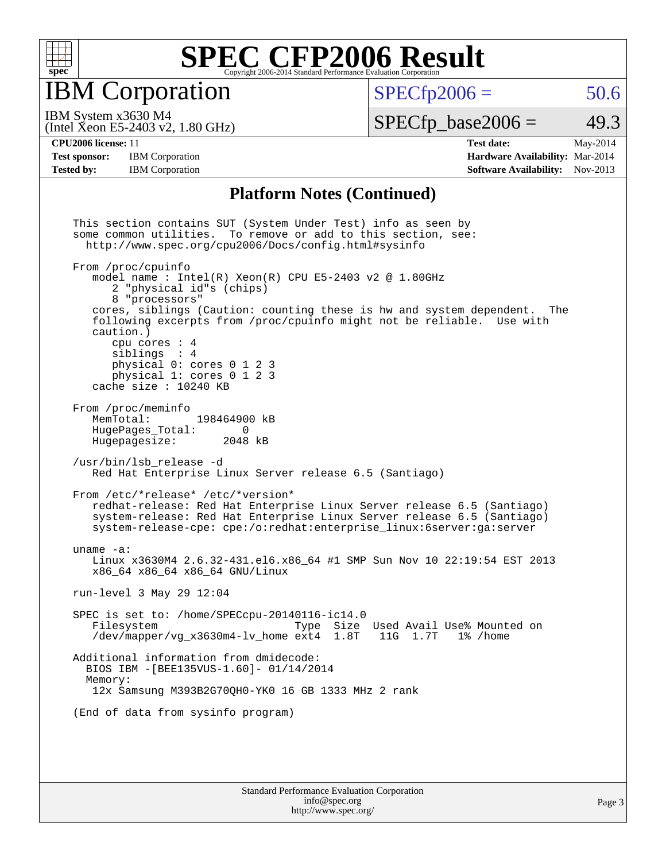

IBM Corporation

 $SPECTp2006 = 50.6$ 

(Intel Xeon E5-2403 v2, 1.80 GHz) IBM System x3630 M4

 $SPECTp\_base2006 = 49.3$ 

**[CPU2006 license:](http://www.spec.org/auto/cpu2006/Docs/result-fields.html#CPU2006license)** 11 **[Test date:](http://www.spec.org/auto/cpu2006/Docs/result-fields.html#Testdate)** May-2014 **[Test sponsor:](http://www.spec.org/auto/cpu2006/Docs/result-fields.html#Testsponsor)** IBM Corporation **[Hardware Availability:](http://www.spec.org/auto/cpu2006/Docs/result-fields.html#HardwareAvailability)** Mar-2014 [Tested by:](http://www.spec.org/auto/cpu2006/Docs/result-fields.html#Testedby) IBM Corporation **[Software Availability:](http://www.spec.org/auto/cpu2006/Docs/result-fields.html#SoftwareAvailability)** Nov-2013

#### **[Platform Notes \(Continued\)](http://www.spec.org/auto/cpu2006/Docs/result-fields.html#PlatformNotes)**

 This section contains SUT (System Under Test) info as seen by some common utilities. To remove or add to this section, see: <http://www.spec.org/cpu2006/Docs/config.html#sysinfo> From /proc/cpuinfo model name : Intel $(R)$  Xeon $(R)$  CPU E5-2403 v2 @ 1.80GHz 2 "physical id"s (chips) 8 "processors" cores, siblings (Caution: counting these is hw and system dependent. The following excerpts from /proc/cpuinfo might not be reliable. Use with caution.) cpu cores : 4 siblings : 4 physical 0: cores 0 1 2 3 physical 1: cores 0 1 2 3 cache size : 10240 KB From /proc/meminfo<br>MemTotal: 198464900 kB HugePages\_Total: 0<br>Hugepagesize: 2048 kB Hugepagesize: /usr/bin/lsb\_release -d Red Hat Enterprise Linux Server release 6.5 (Santiago) From /etc/\*release\* /etc/\*version\* redhat-release: Red Hat Enterprise Linux Server release 6.5 (Santiago) system-release: Red Hat Enterprise Linux Server release 6.5 (Santiago) system-release-cpe: cpe:/o:redhat:enterprise\_linux:6server:ga:server uname -a: Linux x3630M4 2.6.32-431.el6.x86\_64 #1 SMP Sun Nov 10 22:19:54 EST 2013 x86\_64 x86\_64 x86\_64 GNU/Linux run-level 3 May 29 12:04 SPEC is set to: /home/SPECcpu-20140116-ic14.0 Type Size Used Avail Use% Mounted on /dev/mapper/vg  $x3630m4-lv$  home ext4 1.8T 11G 1.7T 1% /home Additional information from dmidecode: BIOS IBM -[BEE135VUS-1.60]- 01/14/2014 Memory: 12x Samsung M393B2G70QH0-YK0 16 GB 1333 MHz 2 rank (End of data from sysinfo program)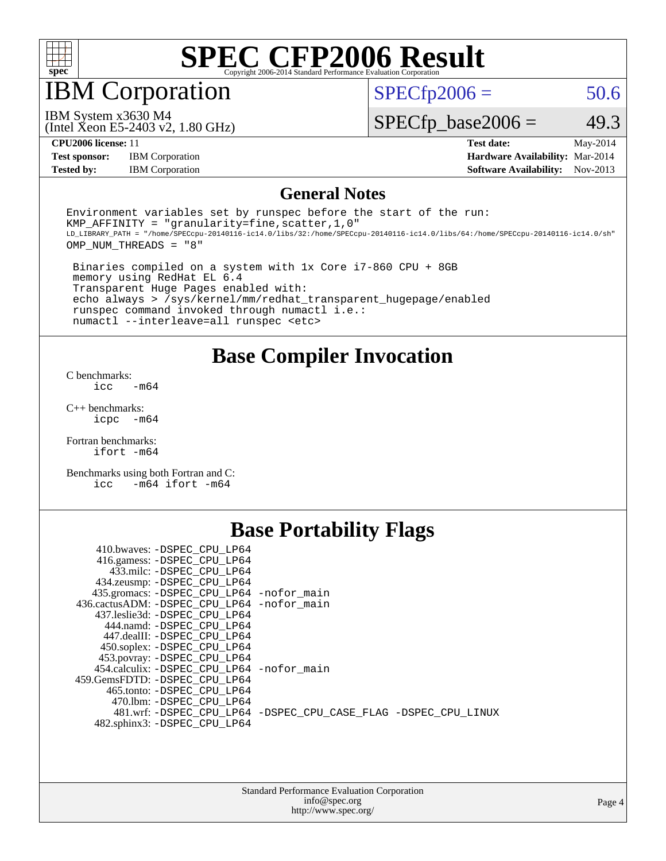

# IBM Corporation

 $SPECTp2006 = 50.6$ 

(Intel Xeon E5-2403 v2, 1.80 GHz) IBM System x3630 M4

 $SPECfp\_base2006 = 49.3$ 

**[CPU2006 license:](http://www.spec.org/auto/cpu2006/Docs/result-fields.html#CPU2006license)** 11 **[Test date:](http://www.spec.org/auto/cpu2006/Docs/result-fields.html#Testdate)** May-2014 **[Test sponsor:](http://www.spec.org/auto/cpu2006/Docs/result-fields.html#Testsponsor)** IBM Corporation **[Hardware Availability:](http://www.spec.org/auto/cpu2006/Docs/result-fields.html#HardwareAvailability)** Mar-2014 **[Tested by:](http://www.spec.org/auto/cpu2006/Docs/result-fields.html#Testedby)** IBM Corporation **[Software Availability:](http://www.spec.org/auto/cpu2006/Docs/result-fields.html#SoftwareAvailability)** Nov-2013

#### **[General Notes](http://www.spec.org/auto/cpu2006/Docs/result-fields.html#GeneralNotes)**

Environment variables set by runspec before the start of the run: KMP AFFINITY = "granularity=fine, scatter,  $1,0$ " LD\_LIBRARY\_PATH = "/home/SPECcpu-20140116-ic14.0/libs/32:/home/SPECcpu-20140116-ic14.0/libs/64:/home/SPECcpu-20140116-ic14.0/sh" OMP\_NUM\_THREADS = "8"

 Binaries compiled on a system with 1x Core i7-860 CPU + 8GB memory using RedHat EL 6.4 Transparent Huge Pages enabled with: echo always > /sys/kernel/mm/redhat\_transparent\_hugepage/enabled runspec command invoked through numactl i.e.: numactl --interleave=all runspec <etc>

**[Base Compiler Invocation](http://www.spec.org/auto/cpu2006/Docs/result-fields.html#BaseCompilerInvocation)**

[C benchmarks](http://www.spec.org/auto/cpu2006/Docs/result-fields.html#Cbenchmarks):  $\text{icc}$   $-\text{m64}$ 

[C++ benchmarks:](http://www.spec.org/auto/cpu2006/Docs/result-fields.html#CXXbenchmarks) [icpc -m64](http://www.spec.org/cpu2006/results/res2014q3/cpu2006-20140604-29809.flags.html#user_CXXbase_intel_icpc_64bit_bedb90c1146cab66620883ef4f41a67e)

[Fortran benchmarks](http://www.spec.org/auto/cpu2006/Docs/result-fields.html#Fortranbenchmarks): [ifort -m64](http://www.spec.org/cpu2006/results/res2014q3/cpu2006-20140604-29809.flags.html#user_FCbase_intel_ifort_64bit_ee9d0fb25645d0210d97eb0527dcc06e)

[Benchmarks using both Fortran and C](http://www.spec.org/auto/cpu2006/Docs/result-fields.html#BenchmarksusingbothFortranandC): [icc -m64](http://www.spec.org/cpu2006/results/res2014q3/cpu2006-20140604-29809.flags.html#user_CC_FCbase_intel_icc_64bit_0b7121f5ab7cfabee23d88897260401c) [ifort -m64](http://www.spec.org/cpu2006/results/res2014q3/cpu2006-20140604-29809.flags.html#user_CC_FCbase_intel_ifort_64bit_ee9d0fb25645d0210d97eb0527dcc06e)

### **[Base Portability Flags](http://www.spec.org/auto/cpu2006/Docs/result-fields.html#BasePortabilityFlags)**

| 410.bwaves: -DSPEC CPU LP64                 |                                                                |
|---------------------------------------------|----------------------------------------------------------------|
| 416.gamess: -DSPEC_CPU_LP64                 |                                                                |
| 433.milc: -DSPEC_CPU_LP64                   |                                                                |
| 434.zeusmp: - DSPEC_CPU_LP64                |                                                                |
| 435.gromacs: -DSPEC_CPU_LP64 -nofor_main    |                                                                |
| 436.cactusADM: -DSPEC CPU LP64 -nofor main  |                                                                |
| 437.leslie3d: -DSPEC CPU LP64               |                                                                |
| 444.namd: -DSPEC CPU LP64                   |                                                                |
| 447.dealII: -DSPEC CPU LP64                 |                                                                |
| 450.soplex: -DSPEC CPU LP64                 |                                                                |
| 453.povray: -DSPEC_CPU_LP64                 |                                                                |
| 454.calculix: - DSPEC CPU LP64 - nofor main |                                                                |
| 459.GemsFDTD: -DSPEC CPU LP64               |                                                                |
| 465.tonto: -DSPEC CPU LP64                  |                                                                |
| 470.1bm: - DSPEC CPU LP64                   |                                                                |
|                                             | 481.wrf: -DSPEC CPU_LP64 -DSPEC_CPU_CASE_FLAG -DSPEC_CPU_LINUX |
| 482.sphinx3: -DSPEC_CPU_LP64                |                                                                |
|                                             |                                                                |

| <b>Standard Performance Evaluation Corporation</b> |
|----------------------------------------------------|
| info@spec.org                                      |
| http://www.spec.org/                               |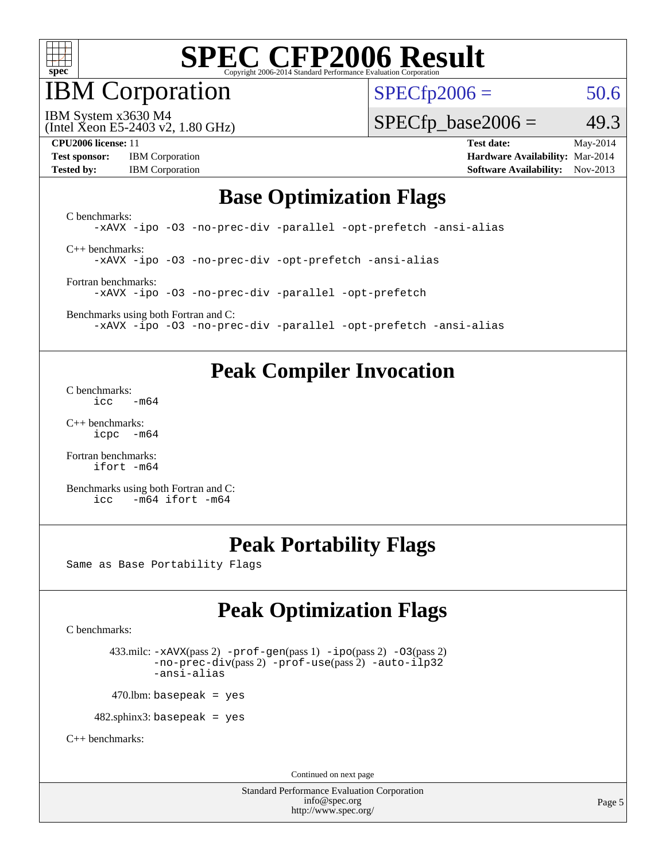

IBM Corporation

 $SPECfp2006 = 50.6$  $SPECfp2006 = 50.6$ 

(Intel Xeon E5-2403 v2, 1.80 GHz) IBM System x3630 M4

 $SPECTp\_base2006 = 49.3$ 

**[Test sponsor:](http://www.spec.org/auto/cpu2006/Docs/result-fields.html#Testsponsor)** IBM Corporation **[Hardware Availability:](http://www.spec.org/auto/cpu2006/Docs/result-fields.html#HardwareAvailability)** Mar-2014

**[CPU2006 license:](http://www.spec.org/auto/cpu2006/Docs/result-fields.html#CPU2006license)** 11 **[Test date:](http://www.spec.org/auto/cpu2006/Docs/result-fields.html#Testdate)** May-2014 **[Tested by:](http://www.spec.org/auto/cpu2006/Docs/result-fields.html#Testedby)** IBM Corporation **[Software Availability:](http://www.spec.org/auto/cpu2006/Docs/result-fields.html#SoftwareAvailability)** Nov-2013

### **[Base Optimization Flags](http://www.spec.org/auto/cpu2006/Docs/result-fields.html#BaseOptimizationFlags)**

[C benchmarks](http://www.spec.org/auto/cpu2006/Docs/result-fields.html#Cbenchmarks): [-xAVX](http://www.spec.org/cpu2006/results/res2014q3/cpu2006-20140604-29809.flags.html#user_CCbase_f-xAVX) [-ipo](http://www.spec.org/cpu2006/results/res2014q3/cpu2006-20140604-29809.flags.html#user_CCbase_f-ipo) [-O3](http://www.spec.org/cpu2006/results/res2014q3/cpu2006-20140604-29809.flags.html#user_CCbase_f-O3) [-no-prec-div](http://www.spec.org/cpu2006/results/res2014q3/cpu2006-20140604-29809.flags.html#user_CCbase_f-no-prec-div) [-parallel](http://www.spec.org/cpu2006/results/res2014q3/cpu2006-20140604-29809.flags.html#user_CCbase_f-parallel) [-opt-prefetch](http://www.spec.org/cpu2006/results/res2014q3/cpu2006-20140604-29809.flags.html#user_CCbase_f-opt-prefetch) [-ansi-alias](http://www.spec.org/cpu2006/results/res2014q3/cpu2006-20140604-29809.flags.html#user_CCbase_f-ansi-alias) [C++ benchmarks:](http://www.spec.org/auto/cpu2006/Docs/result-fields.html#CXXbenchmarks)

[-xAVX](http://www.spec.org/cpu2006/results/res2014q3/cpu2006-20140604-29809.flags.html#user_CXXbase_f-xAVX) [-ipo](http://www.spec.org/cpu2006/results/res2014q3/cpu2006-20140604-29809.flags.html#user_CXXbase_f-ipo) [-O3](http://www.spec.org/cpu2006/results/res2014q3/cpu2006-20140604-29809.flags.html#user_CXXbase_f-O3) [-no-prec-div](http://www.spec.org/cpu2006/results/res2014q3/cpu2006-20140604-29809.flags.html#user_CXXbase_f-no-prec-div) [-opt-prefetch](http://www.spec.org/cpu2006/results/res2014q3/cpu2006-20140604-29809.flags.html#user_CXXbase_f-opt-prefetch) [-ansi-alias](http://www.spec.org/cpu2006/results/res2014q3/cpu2006-20140604-29809.flags.html#user_CXXbase_f-ansi-alias)

[Fortran benchmarks](http://www.spec.org/auto/cpu2006/Docs/result-fields.html#Fortranbenchmarks): [-xAVX](http://www.spec.org/cpu2006/results/res2014q3/cpu2006-20140604-29809.flags.html#user_FCbase_f-xAVX) [-ipo](http://www.spec.org/cpu2006/results/res2014q3/cpu2006-20140604-29809.flags.html#user_FCbase_f-ipo) [-O3](http://www.spec.org/cpu2006/results/res2014q3/cpu2006-20140604-29809.flags.html#user_FCbase_f-O3) [-no-prec-div](http://www.spec.org/cpu2006/results/res2014q3/cpu2006-20140604-29809.flags.html#user_FCbase_f-no-prec-div) [-parallel](http://www.spec.org/cpu2006/results/res2014q3/cpu2006-20140604-29809.flags.html#user_FCbase_f-parallel) [-opt-prefetch](http://www.spec.org/cpu2006/results/res2014q3/cpu2006-20140604-29809.flags.html#user_FCbase_f-opt-prefetch)

[Benchmarks using both Fortran and C](http://www.spec.org/auto/cpu2006/Docs/result-fields.html#BenchmarksusingbothFortranandC): [-xAVX](http://www.spec.org/cpu2006/results/res2014q3/cpu2006-20140604-29809.flags.html#user_CC_FCbase_f-xAVX) [-ipo](http://www.spec.org/cpu2006/results/res2014q3/cpu2006-20140604-29809.flags.html#user_CC_FCbase_f-ipo) [-O3](http://www.spec.org/cpu2006/results/res2014q3/cpu2006-20140604-29809.flags.html#user_CC_FCbase_f-O3) [-no-prec-div](http://www.spec.org/cpu2006/results/res2014q3/cpu2006-20140604-29809.flags.html#user_CC_FCbase_f-no-prec-div) [-parallel](http://www.spec.org/cpu2006/results/res2014q3/cpu2006-20140604-29809.flags.html#user_CC_FCbase_f-parallel) [-opt-prefetch](http://www.spec.org/cpu2006/results/res2014q3/cpu2006-20140604-29809.flags.html#user_CC_FCbase_f-opt-prefetch) [-ansi-alias](http://www.spec.org/cpu2006/results/res2014q3/cpu2006-20140604-29809.flags.html#user_CC_FCbase_f-ansi-alias)

## **[Peak Compiler Invocation](http://www.spec.org/auto/cpu2006/Docs/result-fields.html#PeakCompilerInvocation)**

[C benchmarks](http://www.spec.org/auto/cpu2006/Docs/result-fields.html#Cbenchmarks):  $\text{icc}$  -m64

[C++ benchmarks:](http://www.spec.org/auto/cpu2006/Docs/result-fields.html#CXXbenchmarks) [icpc -m64](http://www.spec.org/cpu2006/results/res2014q3/cpu2006-20140604-29809.flags.html#user_CXXpeak_intel_icpc_64bit_bedb90c1146cab66620883ef4f41a67e)

[Fortran benchmarks](http://www.spec.org/auto/cpu2006/Docs/result-fields.html#Fortranbenchmarks): [ifort -m64](http://www.spec.org/cpu2006/results/res2014q3/cpu2006-20140604-29809.flags.html#user_FCpeak_intel_ifort_64bit_ee9d0fb25645d0210d97eb0527dcc06e)

[Benchmarks using both Fortran and C](http://www.spec.org/auto/cpu2006/Docs/result-fields.html#BenchmarksusingbothFortranandC): [icc -m64](http://www.spec.org/cpu2006/results/res2014q3/cpu2006-20140604-29809.flags.html#user_CC_FCpeak_intel_icc_64bit_0b7121f5ab7cfabee23d88897260401c) [ifort -m64](http://www.spec.org/cpu2006/results/res2014q3/cpu2006-20140604-29809.flags.html#user_CC_FCpeak_intel_ifort_64bit_ee9d0fb25645d0210d97eb0527dcc06e)

# **[Peak Portability Flags](http://www.spec.org/auto/cpu2006/Docs/result-fields.html#PeakPortabilityFlags)**

Same as Base Portability Flags

# **[Peak Optimization Flags](http://www.spec.org/auto/cpu2006/Docs/result-fields.html#PeakOptimizationFlags)**

[C benchmarks](http://www.spec.org/auto/cpu2006/Docs/result-fields.html#Cbenchmarks):

 433.milc: [-xAVX](http://www.spec.org/cpu2006/results/res2014q3/cpu2006-20140604-29809.flags.html#user_peakPASS2_CFLAGSPASS2_LDFLAGS433_milc_f-xAVX)(pass 2) [-prof-gen](http://www.spec.org/cpu2006/results/res2014q3/cpu2006-20140604-29809.flags.html#user_peakPASS1_CFLAGSPASS1_LDFLAGS433_milc_prof_gen_e43856698f6ca7b7e442dfd80e94a8fc)(pass 1) [-ipo](http://www.spec.org/cpu2006/results/res2014q3/cpu2006-20140604-29809.flags.html#user_peakPASS2_CFLAGSPASS2_LDFLAGS433_milc_f-ipo)(pass 2) [-O3](http://www.spec.org/cpu2006/results/res2014q3/cpu2006-20140604-29809.flags.html#user_peakPASS2_CFLAGSPASS2_LDFLAGS433_milc_f-O3)(pass 2) [-no-prec-div](http://www.spec.org/cpu2006/results/res2014q3/cpu2006-20140604-29809.flags.html#user_peakPASS2_CFLAGSPASS2_LDFLAGS433_milc_f-no-prec-div)(pass 2) [-prof-use](http://www.spec.org/cpu2006/results/res2014q3/cpu2006-20140604-29809.flags.html#user_peakPASS2_CFLAGSPASS2_LDFLAGS433_milc_prof_use_bccf7792157ff70d64e32fe3e1250b55)(pass 2) [-auto-ilp32](http://www.spec.org/cpu2006/results/res2014q3/cpu2006-20140604-29809.flags.html#user_peakCOPTIMIZE433_milc_f-auto-ilp32) [-ansi-alias](http://www.spec.org/cpu2006/results/res2014q3/cpu2006-20140604-29809.flags.html#user_peakCOPTIMIZE433_milc_f-ansi-alias)

 $470.$ lbm: basepeak = yes

482.sphinx3: basepeak = yes

[C++ benchmarks:](http://www.spec.org/auto/cpu2006/Docs/result-fields.html#CXXbenchmarks)

Continued on next page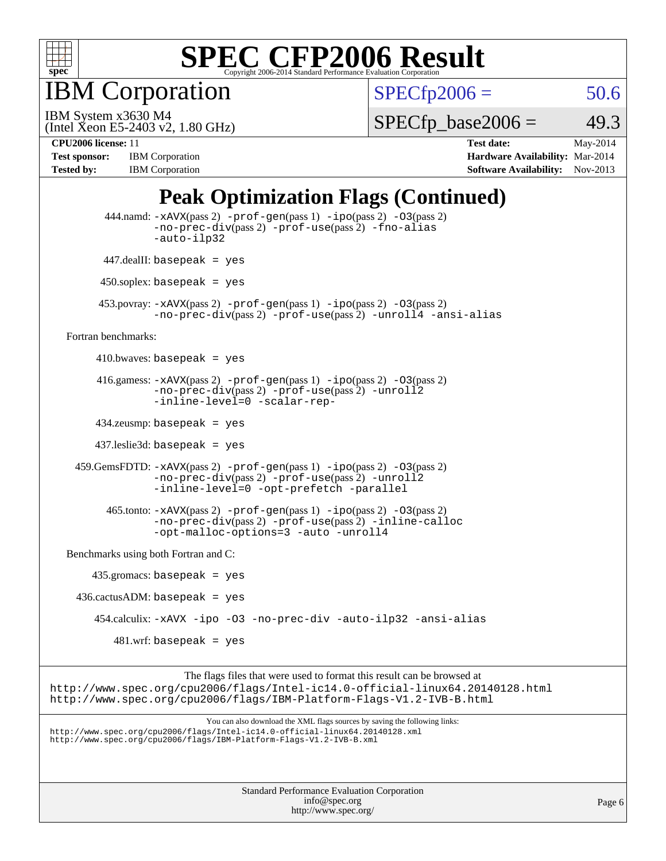

IBM Corporation

 $SPECTp2006 = 50.6$ 

(Intel Xeon E5-2403 v2, 1.80 GHz) IBM System x3630 M4

 $SPECTp\_base2006 = 49.3$ 

**[CPU2006 license:](http://www.spec.org/auto/cpu2006/Docs/result-fields.html#CPU2006license)** 11 **[Test date:](http://www.spec.org/auto/cpu2006/Docs/result-fields.html#Testdate)** May-2014 **[Test sponsor:](http://www.spec.org/auto/cpu2006/Docs/result-fields.html#Testsponsor)** IBM Corporation **[Hardware Availability:](http://www.spec.org/auto/cpu2006/Docs/result-fields.html#HardwareAvailability)** Mar-2014 [Tested by:](http://www.spec.org/auto/cpu2006/Docs/result-fields.html#Testedby) IBM Corporation **[Software Availability:](http://www.spec.org/auto/cpu2006/Docs/result-fields.html#SoftwareAvailability)** Nov-2013

# **[Peak Optimization Flags \(Continued\)](http://www.spec.org/auto/cpu2006/Docs/result-fields.html#PeakOptimizationFlags)**

```
Standard Performance Evaluation Corporation
           444.namd: -xAVX(pass 2) -prof-gen(pass 1) -ipo(pass 2) -O3(pass 2)
                   -no-prec-div(pass 2) -prof-use(pass 2) -fno-alias
                   -auto-ilp32
           447.dealII: basepeak = yes
          450.soplex: basepeak = yes
          453.povray: -xAVX(pass 2) -prof-gen(pass 1) -ipo(pass 2) -O3(pass 2)
                   -no-prec-div(pass 2) -prof-use(pass 2) -unroll4 -ansi-alias
   Fortran benchmarks: 
        410.bwaves: basepeak = yes416.gamess: -xAVX(pass 2) -prof-gen(pass 1) -ipo(pass 2) -O3(pass 2)
                   -no-prec-div(pass 2) -prof-use(pass 2) -unroll2
                   -inline-level=0 -scalar-rep-
         434.zeusmp: basepeak = yes
         437.leslie3d: basepeak = yes
     459.GemsFDTD: -xAVX(pass 2) -prof-gen(pass 1) -ipo(pass 2) -O3(pass 2)
                   -no-prec-div(pass 2) -prof-use(pass 2) -unroll2
                   -inline-level=0 -opt-prefetch -parallel
          465.tonto: -xAVX(pass 2) -prof-gen(pass 1) -po(pass 2) -03(pass 2)
                   -no-prec-div(pass 2) -prof-use(pass 2) -inline-calloc
                   -opt-malloc-options=3 -auto -unroll4
   Benchmarks using both Fortran and C: 
        435.gromacs: basepeak = yes
     436.cactusADM: basepeak = yes
         454.calculix: -xAVX -ipo -O3 -no-prec-div -auto-ilp32 -ansi-alias
            481.wrf: basepeak = yes
                         The flags files that were used to format this result can be browsed at
http://www.spec.org/cpu2006/flags/Intel-ic14.0-official-linux64.20140128.html
http://www.spec.org/cpu2006/flags/IBM-Platform-Flags-V1.2-IVB-B.html
                             You can also download the XML flags sources by saving the following links:
http://www.spec.org/cpu2006/flags/Intel-ic14.0-official-linux64.20140128.xml
http://www.spec.org/cpu2006/flags/IBM-Platform-Flags-V1.2-IVB-B.xml
```